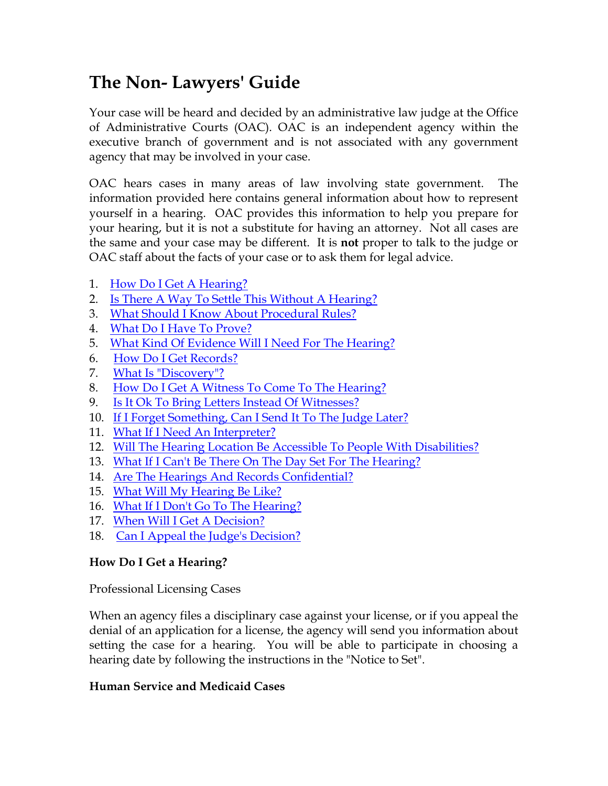# **The Non- Lawyers' Guide**

Your case will be heard and decided by an administrative law judge at the Office of Administrative Courts (OAC). OAC is an independent agency within the executive branch of government and is not associated with any government agency that may be involved in your case.

OAC hears cases in many areas of law involving state government. The information provided here contains general information about how to represent yourself in a hearing. OAC provides this information to help you prepare for your hearing, but it is not a substitute for having an attorney. Not all cases are the same and your case may be different. It is **not** proper to talk to the judge or OAC staff about the facts of your case or to ask them for legal advice.

- 1. How Do I Get A Hearing?
- 2. Is There A Way To Settle This Without A Hearing?
- 3. What Should I Know About Procedural Rules?
- 4. What Do I Have To Prove?
- 5. What Kind Of Evidence Will I Need For The Hearing?
- 6. How Do I Get Records?
- 7. What Is "Discovery"?
- 8. How Do I Get A Witness To Come To The Hearing?
- 9. Is It Ok To Bring Letters Instead Of Witnesses?
- 10. If I Forget Something, Can I Send It To The Judge Later?
- 11. What If I Need An Interpreter?
- 12. Will The Hearing Location Be Accessible To People With Disabilities?
- 13. What If I Can't Be There On The Day Set For The Hearing?
- 14. Are The Hearings And Records Confidential?
- 15. What Will My Hearing Be Like?
- 16. What If I Don't Go To The Hearing?
- 17. When Will I Get A Decision?
- 18. Can I Appeal the Judge's Decision?

# **How Do I Get a Hearing?**

Professional Licensing Cases

When an agency files a disciplinary case against your license, or if you appeal the denial of an application for a license, the agency will send you information about setting the case for a hearing. You will be able to participate in choosing a hearing date by following the instructions in the "Notice to Set".

## **Human Service and Medicaid Cases**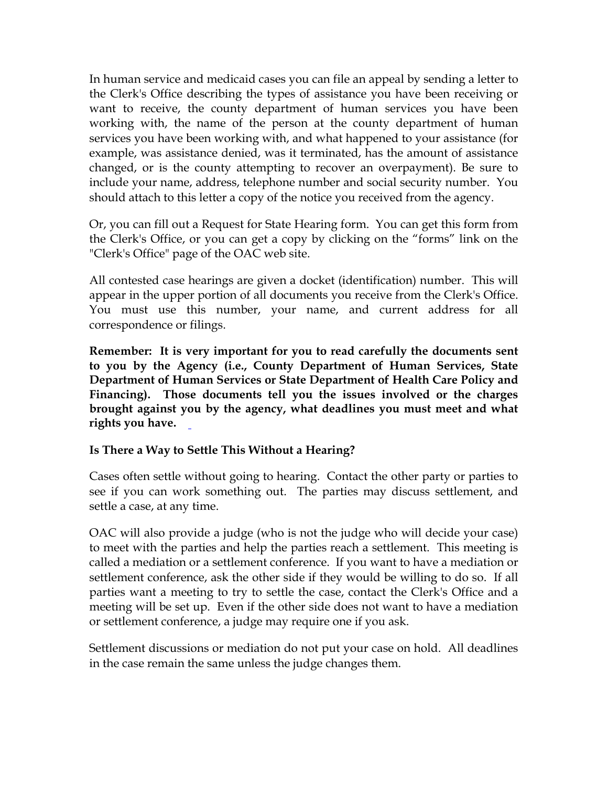In human service and medicaid cases you can file an appeal by sending a letter to the Clerk's Office describing the types of assistance you have been receiving or want to receive, the county department of human services you have been working with, the name of the person at the county department of human services you have been working with, and what happened to your assistance (for example, was assistance denied, was it terminated, has the amount of assistance changed, or is the county attempting to recover an overpayment). Be sure to include your name, address, telephone number and social security number. You should attach to this letter a copy of the notice you received from the agency.

Or, you can fill out a Request for State Hearing form. You can get this form from the Clerk's Office, or you can get a copy by clicking on the "forms" link on the "Clerk's Office" page of the OAC web site.

All contested case hearings are given a docket (identification) number. This will appear in the upper portion of all documents you receive from the Clerk's Office. You must use this number, your name, and current address for all correspondence or filings.

**Remember: It is very important for you to read carefully the documents sent to you by the Agency (i.e., County Department of Human Services, State Department of Human Services or State Department of Health Care Policy and Financing). Those documents tell you the issues involved or the charges brought against you by the agency, what deadlines you must meet and what rights you have.** 

**Is There a Way to Settle This Without a Hearing?**

Cases often settle without going to hearing. Contact the other party or parties to see if you can work something out. The parties may discuss settlement, and settle a case, at any time.

OAC will also provide a judge (who is not the judge who will decide your case) to meet with the parties and help the parties reach a settlement. This meeting is called a mediation or a settlement conference. If you want to have a mediation or settlement conference, ask the other side if they would be willing to do so. If all parties want a meeting to try to settle the case, contact the Clerk's Office and a meeting will be set up. Even if the other side does not want to have a mediation or settlement conference, a judge may require one if you ask.

Settlement discussions or mediation do not put your case on hold. All deadlines in the case remain the same unless the judge changes them.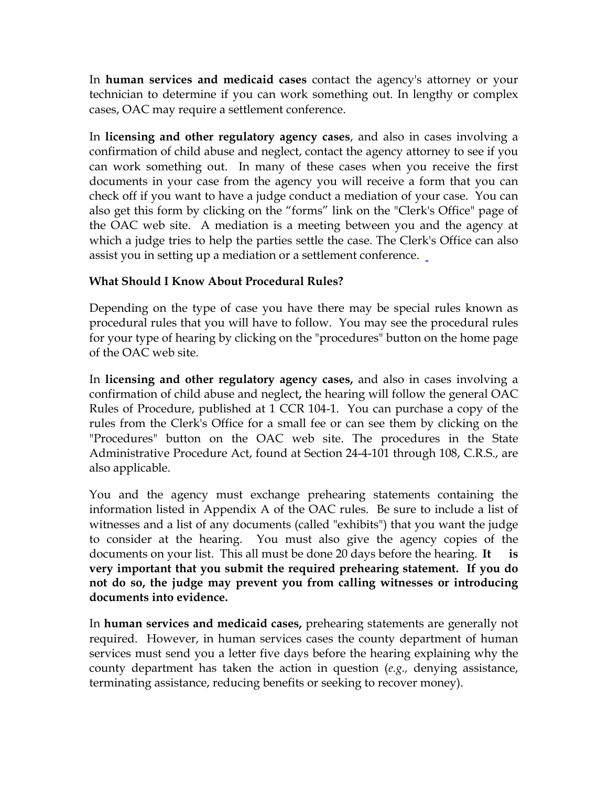In **human services and medicaid cases** contact the agency's attorney or your technician to determine if you can work something out. In lengthy or complex cases, OAC may require a settlement conference.

In **licensing and other regulatory agency cases**, and also in cases involving a confirmation of child abuse and neglect, contact the agency attorney to see if you can work something out. In many of these cases when you receive the first documents in your case from the agency you will receive a form that you can check off if you want to have a judge conduct a mediation of your case. You can also get this form by clicking on the "forms" link on the "Clerk's Office" page of the OAC web site. A mediation is a meeting between you and the agency at which a judge tries to help the parties settle the case. The Clerk's Office can also assist you in setting up a mediation or a settlement conference.

## **What Should I Know About Procedural Rules?**

Depending on the type of case you have there may be special rules known as procedural rules that you will have to follow. You may see the procedural rules for your type of hearing by clicking on the "procedures" button on the home page of the OAC web site.

In **licensing and other regulatory agency cases,** and also in cases involving a confirmation of child abuse and neglect**,** the hearing will follow the general OAC Rules of Procedure, published at 1 CCR 104-1. You can purchase a copy of the rules from the Clerk's Office for a small fee or can see them by clicking on the "Procedures" button on the OAC web site. The procedures in the State Administrative Procedure Act, found at Section 24-4-101 through 108, C.R.S., are also applicable.

You and the agency must exchange prehearing statements containing the information listed in Appendix A of the OAC rules. Be sure to include a list of witnesses and a list of any documents (called "exhibits") that you want the judge to consider at the hearing. You must also give the agency copies of the documents on your list. This all must be done 20 days before the hearing. **It is very important that you submit the required prehearing statement. If you do not do so, the judge may prevent you from calling witnesses or introducing documents into evidence.** 

In **human services and medicaid cases,** prehearing statements are generally not required. However, in human services cases the county department of human services must send you a letter five days before the hearing explaining why the county department has taken the action in question (*e.g.,* denying assistance, terminating assistance, reducing benefits or seeking to recover money).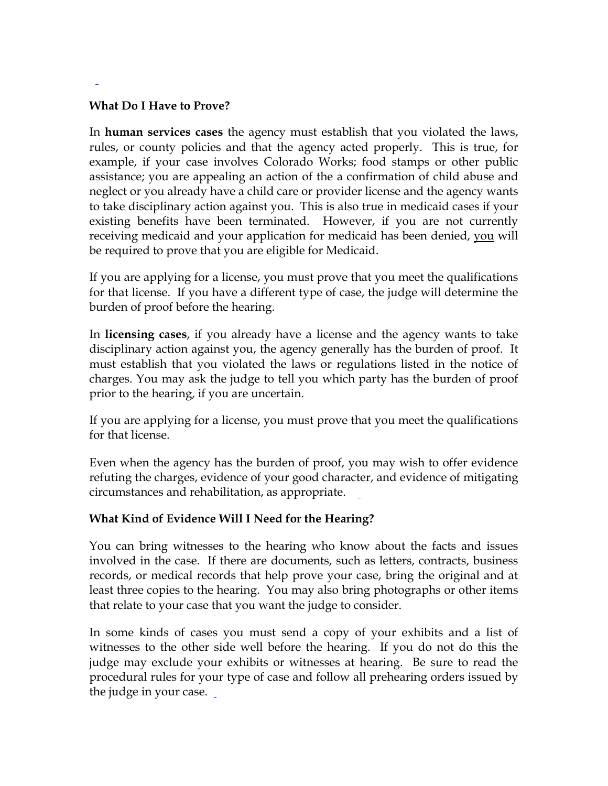#### **What Do I Have to Prove?**

In **human services cases** the agency must establish that you violated the laws, rules, or county policies and that the agency acted properly. This is true, for example, if your case involves Colorado Works; food stamps or other public assistance; you are appealing an action of the a confirmation of child abuse and neglect or you already have a child care or provider license and the agency wants to take disciplinary action against you. This is also true in medicaid cases if your existing benefits have been terminated. However, if you are not currently receiving medicaid and your application for medicaid has been denied, you will be required to prove that you are eligible for Medicaid.

If you are applying for a license, you must prove that you meet the qualifications for that license. If you have a different type of case, the judge will determine the burden of proof before the hearing.

In **licensing cases**, if you already have a license and the agency wants to take disciplinary action against you, the agency generally has the burden of proof. It must establish that you violated the laws or regulations listed in the notice of charges. You may ask the judge to tell you which party has the burden of proof prior to the hearing, if you are uncertain.

If you are applying for a license, you must prove that you meet the qualifications for that license.

Even when the agency has the burden of proof, you may wish to offer evidence refuting the charges, evidence of your good character, and evidence of mitigating circumstances and rehabilitation, as appropriate.

## **What Kind of Evidence Will I Need for the Hearing?**

You can bring witnesses to the hearing who know about the facts and issues involved in the case. If there are documents, such as letters, contracts, business records, or medical records that help prove your case, bring the original and at least three copies to the hearing. You may also bring photographs or other items that relate to your case that you want the judge to consider.

In some kinds of cases you must send a copy of your exhibits and a list of witnesses to the other side well before the hearing. If you do not do this the judge may exclude your exhibits or witnesses at hearing. Be sure to read the procedural rules for your type of case and follow all prehearing orders issued by the judge in your case.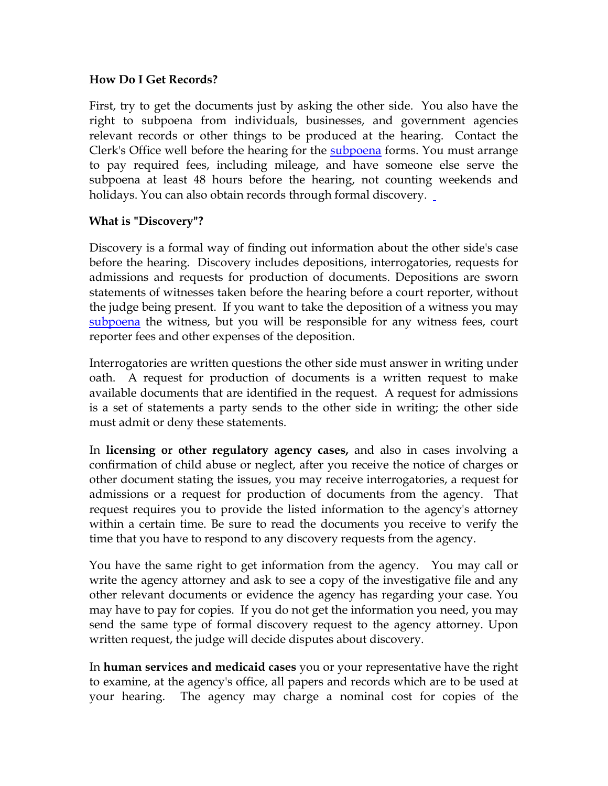#### **How Do I Get Records?**

First, try to get the documents just by asking the other side. You also have the right to subpoena from individuals, businesses, and government agencies relevant records or other things to be produced at the hearing. Contact the Clerk's Office well before the hearing for the [subpoena](https://www.colorado.gov/pacific/oac/oac-form-links) forms. You must arrange to pay required fees, including mileage, and have someone else serve the subpoena at least 48 hours before the hearing, not counting weekends and holidays. You can also obtain records through formal discovery.

#### **What is "Discovery"?**

Discovery is a formal way of finding out information about the other side's case before the hearing. Discovery includes depositions, interrogatories, requests for admissions and requests for production of documents. Depositions are sworn statements of witnesses taken before the hearing before a court reporter, without the judge being present. If you want to take the deposition of a witness you may [subpoena](https://www.colorado.gov/pacific/oac/oac-form-links) the witness, but you will be responsible for any witness fees, court reporter fees and other expenses of the deposition.

Interrogatories are written questions the other side must answer in writing under oath. A request for production of documents is a written request to make available documents that are identified in the request. A request for admissions is a set of statements a party sends to the other side in writing; the other side must admit or deny these statements.

In **licensing or other regulatory agency cases,** and also in cases involving a confirmation of child abuse or neglect, after you receive the notice of charges or other document stating the issues, you may receive interrogatories, a request for admissions or a request for production of documents from the agency. That request requires you to provide the listed information to the agency's attorney within a certain time. Be sure to read the documents you receive to verify the time that you have to respond to any discovery requests from the agency.

You have the same right to get information from the agency. You may call or write the agency attorney and ask to see a copy of the investigative file and any other relevant documents or evidence the agency has regarding your case. You may have to pay for copies. If you do not get the information you need, you may send the same type of formal discovery request to the agency attorney. Upon written request, the judge will decide disputes about discovery.

In **human services and medicaid cases** you or your representative have the right to examine, at the agency's office, all papers and records which are to be used at your hearing. The agency may charge a nominal cost for copies of the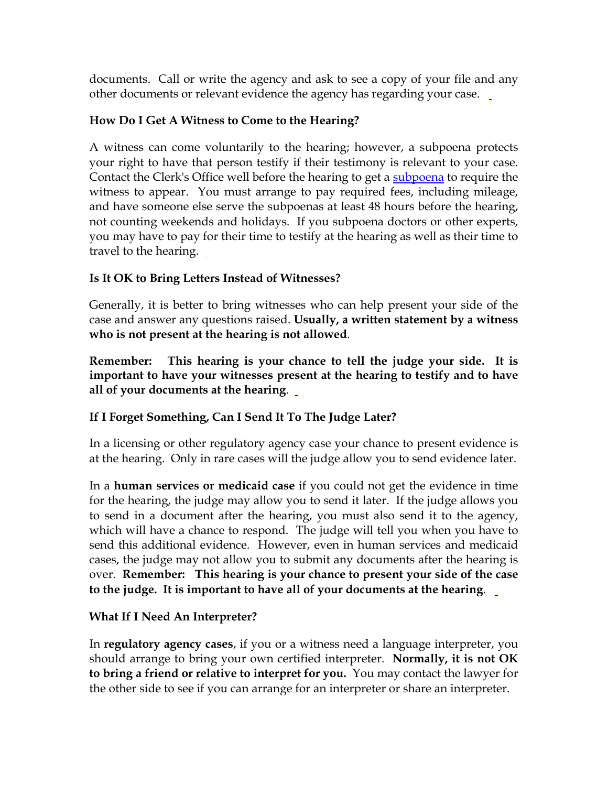documents. Call or write the agency and ask to see a copy of your file and any other documents or relevant evidence the agency has regarding your case.

## **How Do I Get A Witness to Come to the Hearing?**

A witness can come voluntarily to the hearing; however, a subpoena protects your right to have that person testify if their testimony is relevant to your case. Contact the Clerk's Office well before the hearing to get a [subpoena](https://www.colorado.gov/pacific/oac/oac-form-links) to require the witness to appear. You must arrange to pay required fees, including mileage, and have someone else serve the subpoenas at least 48 hours before the hearing, not counting weekends and holidays. If you subpoena doctors or other experts, you may have to pay for their time to testify at the hearing as well as their time to travel to the hearing.

## **Is It OK to Bring Letters Instead of Witnesses?**

Generally, it is better to bring witnesses who can help present your side of the case and answer any questions raised. **Usually, a written statement by a witness who is not present at the hearing is not allowed**.

**Remember: This hearing is your chance to tell the judge your side. It is important to have your witnesses present at the hearing to testify and to have all of your documents at the hearing**.

# **If I Forget Something, Can I Send It To The Judge Later?**

In a licensing or other regulatory agency case your chance to present evidence is at the hearing. Only in rare cases will the judge allow you to send evidence later.

In a **human services or medicaid case** if you could not get the evidence in time for the hearing, the judge may allow you to send it later. If the judge allows you to send in a document after the hearing, you must also send it to the agency, which will have a chance to respond. The judge will tell you when you have to send this additional evidence. However, even in human services and medicaid cases, the judge may not allow you to submit any documents after the hearing is over. **Remember: This hearing is your chance to present your side of the case to the judge. It is important to have all of your documents at the hearing**.

## **What If I Need An Interpreter?**

In **regulatory agency cases**, if you or a witness need a language interpreter, you should arrange to bring your own certified interpreter. **Normally, it is not OK to bring a friend or relative to interpret for you.** You may contact the lawyer for the other side to see if you can arrange for an interpreter or share an interpreter.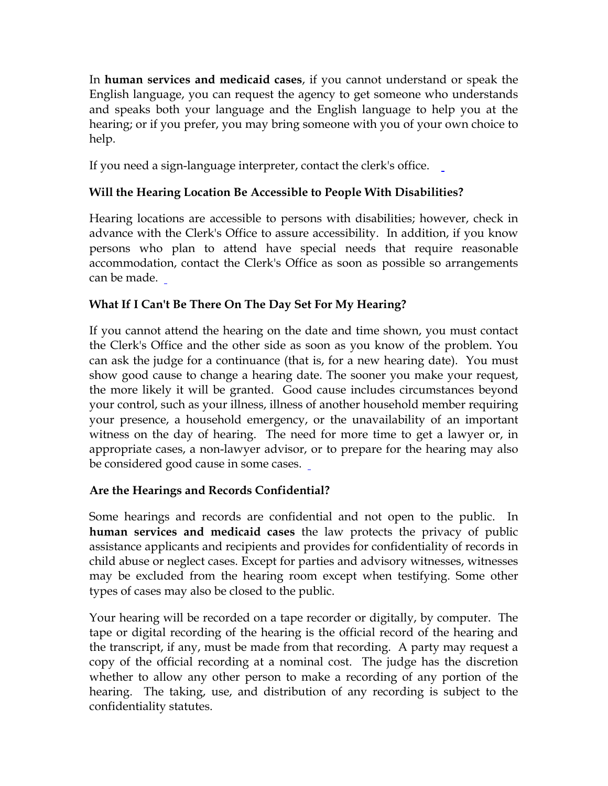In **human services and medicaid cases**, if you cannot understand or speak the English language, you can request the agency to get someone who understands and speaks both your language and the English language to help you at the hearing; or if you prefer, you may bring someone with you of your own choice to help.

If you need a sign-language interpreter, contact the clerk's office.

# **Will the Hearing Location Be Accessible to People With Disabilities?**

Hearing locations are accessible to persons with disabilities; however, check in advance with the Clerk's Office to assure accessibility. In addition, if you know persons who plan to attend have special needs that require reasonable accommodation, contact the Clerk's Office as soon as possible so arrangements can be made.

## **What If I Can't Be There On The Day Set For My Hearing?**

If you cannot attend the hearing on the date and time shown, you must contact the Clerk's Office and the other side as soon as you know of the problem. You can ask the judge for a continuance (that is, for a new hearing date). You must show good cause to change a hearing date. The sooner you make your request, the more likely it will be granted. Good cause includes circumstances beyond your control, such as your illness, illness of another household member requiring your presence, a household emergency, or the unavailability of an important witness on the day of hearing. The need for more time to get a lawyer or, in appropriate cases, a non-lawyer advisor, or to prepare for the hearing may also be considered good cause in some cases.

# **Are the Hearings and Records Confidential?**

Some hearings and records are confidential and not open to the public. In **human services and medicaid cases** the law protects the privacy of public assistance applicants and recipients and provides for confidentiality of records in child abuse or neglect cases. Except for parties and advisory witnesses, witnesses may be excluded from the hearing room except when testifying. Some other types of cases may also be closed to the public.

Your hearing will be recorded on a tape recorder or digitally, by computer. The tape or digital recording of the hearing is the official record of the hearing and the transcript, if any, must be made from that recording. A party may request a copy of the official recording at a nominal cost. The judge has the discretion whether to allow any other person to make a recording of any portion of the hearing. The taking, use, and distribution of any recording is subject to the confidentiality statutes.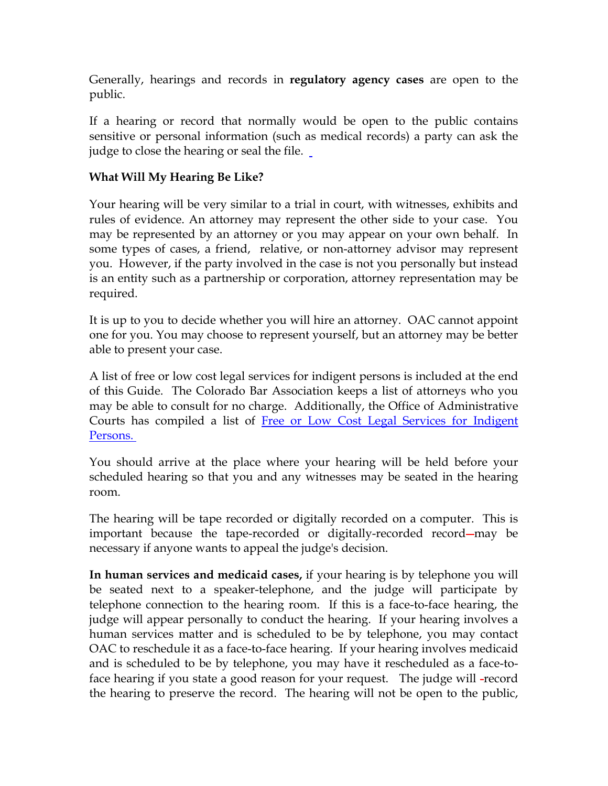Generally, hearings and records in **regulatory agency cases** are open to the public.

If a hearing or record that normally would be open to the public contains sensitive or personal information (such as medical records) a party can ask the judge to close the hearing or seal the file.

#### **What Will My Hearing Be Like?**

Your hearing will be very similar to a trial in court, with witnesses, exhibits and rules of evidence. An attorney may represent the other side to your case. You may be represented by an attorney or you may appear on your own behalf. In some types of cases, a friend, relative, or non-attorney advisor may represent you. However, if the party involved in the case is not you personally but instead is an entity such as a partnership or corporation, attorney representation may be required.

It is up to you to decide whether you will hire an attorney. OAC cannot appoint one for you. You may choose to represent yourself, but an attorney may be better able to present your case.

A list of free or low cost legal services for indigent persons is included at the end of this Guide. The Colorado Bar Association keeps a list of attorneys who you may be able to consult for no charge. Additionally, the Office of Administrative Courts has compiled a list of Free or Low Cost Legal Services for Indigent [Persons.](http://www.colorado.gov/dpa/oac/pdf/Legal Services2.pdf)

You should arrive at the place where your hearing will be held before your scheduled hearing so that you and any witnesses may be seated in the hearing room.

The hearing will be tape recorded or digitally recorded on a computer. This is important because the tape-recorded or digitally-recorded record—may be necessary if anyone wants to appeal the judge's decision.

**In human services and medicaid cases,** if your hearing is by telephone you will be seated next to a speaker-telephone, and the judge will participate by telephone connection to the hearing room. If this is a face-to-face hearing, the judge will appear personally to conduct the hearing. If your hearing involves a human services matter and is scheduled to be by telephone, you may contact OAC to reschedule it as a face-to-face hearing. If your hearing involves medicaid and is scheduled to be by telephone, you may have it rescheduled as a face-toface hearing if you state a good reason for your request. The judge will -record the hearing to preserve the record. The hearing will not be open to the public,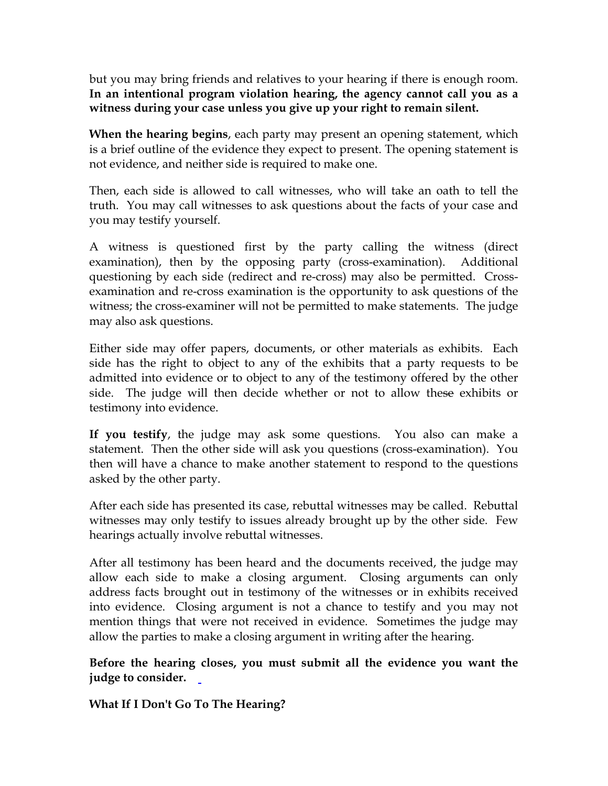but you may bring friends and relatives to your hearing if there is enough room. **In an intentional program violation hearing, the agency cannot call you as a witness during your case unless you give up your right to remain silent.**

**When the hearing begins**, each party may present an opening statement, which is a brief outline of the evidence they expect to present. The opening statement is not evidence, and neither side is required to make one.

Then, each side is allowed to call witnesses, who will take an oath to tell the truth. You may call witnesses to ask questions about the facts of your case and you may testify yourself.

A witness is questioned first by the party calling the witness (direct examination), then by the opposing party (cross-examination). Additional questioning by each side (redirect and re-cross) may also be permitted. Crossexamination and re-cross examination is the opportunity to ask questions of the witness; the cross-examiner will not be permitted to make statements. The judge may also ask questions.

Either side may offer papers, documents, or other materials as exhibits. Each side has the right to object to any of the exhibits that a party requests to be admitted into evidence or to object to any of the testimony offered by the other side. The judge will then decide whether or not to allow these exhibits or testimony into evidence.

**If you testify**, the judge may ask some questions. You also can make a statement. Then the other side will ask you questions (cross-examination). You then will have a chance to make another statement to respond to the questions asked by the other party.

After each side has presented its case, rebuttal witnesses may be called. Rebuttal witnesses may only testify to issues already brought up by the other side. Few hearings actually involve rebuttal witnesses.

After all testimony has been heard and the documents received, the judge may allow each side to make a closing argument. Closing arguments can only address facts brought out in testimony of the witnesses or in exhibits received into evidence. Closing argument is not a chance to testify and you may not mention things that were not received in evidence. Sometimes the judge may allow the parties to make a closing argument in writing after the hearing.

**Before the hearing closes, you must submit all the evidence you want the judge to consider.** 

**What If I Don't Go To The Hearing?**